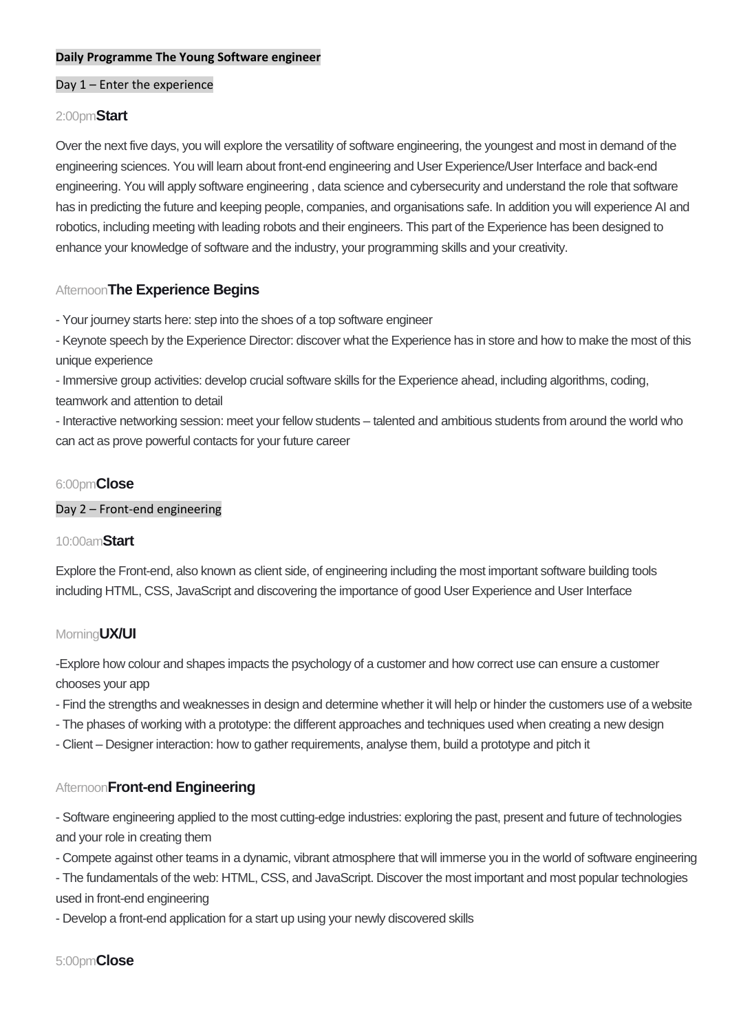### **Daily Programme The Young Software engineer**

## Day 1 – Enter the experience

#### 2:00pm**Start**

Over the next five days, you will explore the versatility of software engineering, the youngest and most in demand of the engineering sciences. You will learn about front-end engineering and User Experience/User Interface and back-end engineering. You will apply software engineering , data science and cybersecurity and understand the role that software has in predicting the future and keeping people, companies, and organisations safe. In addition you will experience AI and robotics, including meeting with leading robots and their engineers. This part of the Experience has been designed to enhance your knowledge of software and the industry, your programming skills and your creativity.

## Afternoon**The Experience Begins**

- Your journey starts here: step into the shoes of a top software engineer

- Keynote speech by the Experience Director: discover what the Experience has in store and how to make the most of this unique experience

- Immersive group activities: develop crucial software skills for the Experience ahead, including algorithms, coding, teamwork and attention to detail

- Interactive networking session: meet your fellow students – talented and ambitious students from around the world who can act as prove powerful contacts for your future career

### 6:00pm**Close**

#### Day 2 – Front-end engineering

### 10:00am**Start**

Explore the Front-end, also known as client side, of engineering including the most important software building tools including HTML, CSS, JavaScript and discovering the importance of good User Experience and User Interface

#### Morning**UX/UI**

-Explore how colour and shapes impacts the psychology of a customer and how correct use can ensure a customer chooses your app

- Find the strengths and weaknesses in design and determine whether it will help or hinder the customers use of a website
- The phases of working with a prototype: the different approaches and techniques used when creating a new design
- Client Designer interaction: how to gather requirements, analyse them, build a prototype and pitch it

## Afternoon**Front-end Engineering**

- Software engineering applied to the most cutting-edge industries: exploring the past, present and future of technologies and your role in creating them

- Compete against other teams in a dynamic, vibrant atmosphere that will immerse you in the world of software engineering

- The fundamentals of the web: HTML, CSS, and JavaScript. Discover the most important and most popular technologies used in front-end engineering

- Develop a front-end application for a start up using your newly discovered skills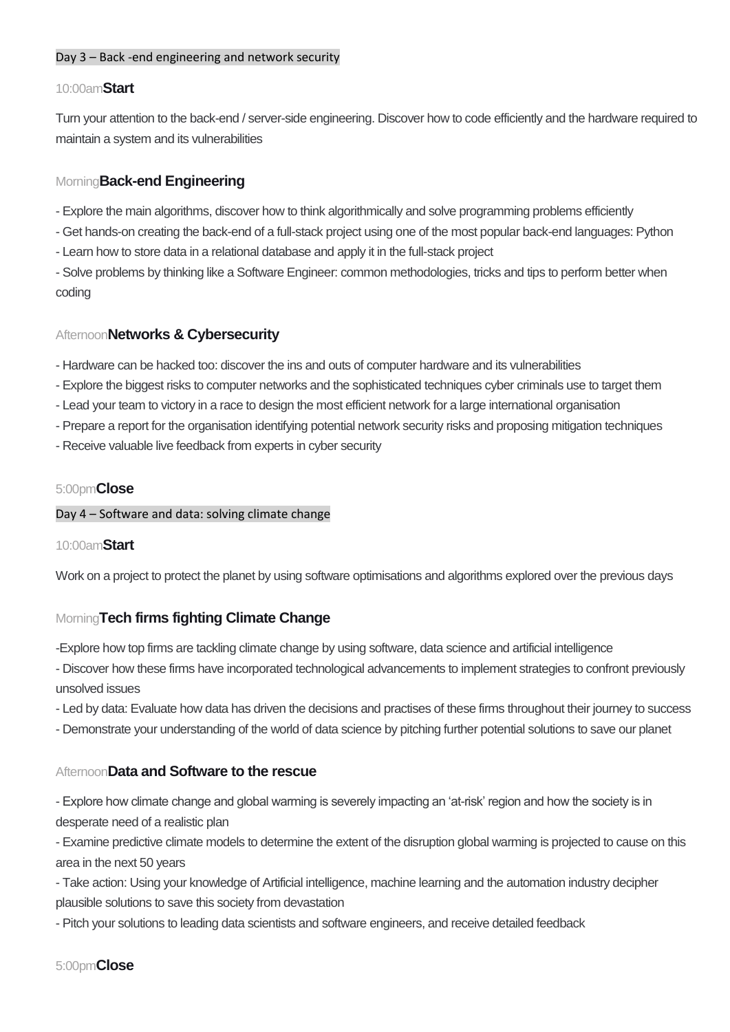## Day 3 – Back -end engineering and network security

### 10:00am**Start**

Turn your attention to the back-end / server-side engineering. Discover how to code efficiently and the hardware required to maintain a system and its vulnerabilities

## Morning**Back-end Engineering**

- Explore the main algorithms, discover how to think algorithmically and solve programming problems efficiently
- Get hands-on creating the back-end of a full-stack project using one of the most popular back-end languages: Python
- Learn how to store data in a relational database and apply it in the full-stack project

- Solve problems by thinking like a Software Engineer: common methodologies, tricks and tips to perform better when coding

## Afternoon**Networks & Cybersecurity**

- Hardware can be hacked too: discover the ins and outs of computer hardware and its vulnerabilities
- Explore the biggest risks to computer networks and the sophisticated techniques cyber criminals use to target them
- Lead your team to victory in a race to design the most efficient network for a large international organisation
- Prepare a report for the organisation identifying potential network security risks and proposing mitigation techniques
- Receive valuable live feedback from experts in cyber security

### 5:00pm**Close**

#### Day 4 – Software and data: solving climate change

## 10:00am**Start**

Work on a project to protect the planet by using software optimisations and algorithms explored over the previous days

# Morning**Tech firms fighting Climate Change**

-Explore how top firms are tackling climate change by using software, data science and artificial intelligence

- Discover how these firms have incorporated technological advancements to implement strategies to confront previously unsolved issues
- Led by data: Evaluate how data has driven the decisions and practises of these firms throughout their journey to success
- Demonstrate your understanding of the world of data science by pitching further potential solutions to save our planet

## Afternoon**Data and Software to the rescue**

- Explore how climate change and global warming is severely impacting an 'at-risk' region and how the society is in desperate need of a realistic plan
- Examine predictive climate models to determine the extent of the disruption global warming is projected to cause on this area in the next 50 years
- Take action: Using your knowledge of Artificial intelligence, machine learning and the automation industry decipher plausible solutions to save this society from devastation
- Pitch your solutions to leading data scientists and software engineers, and receive detailed feedback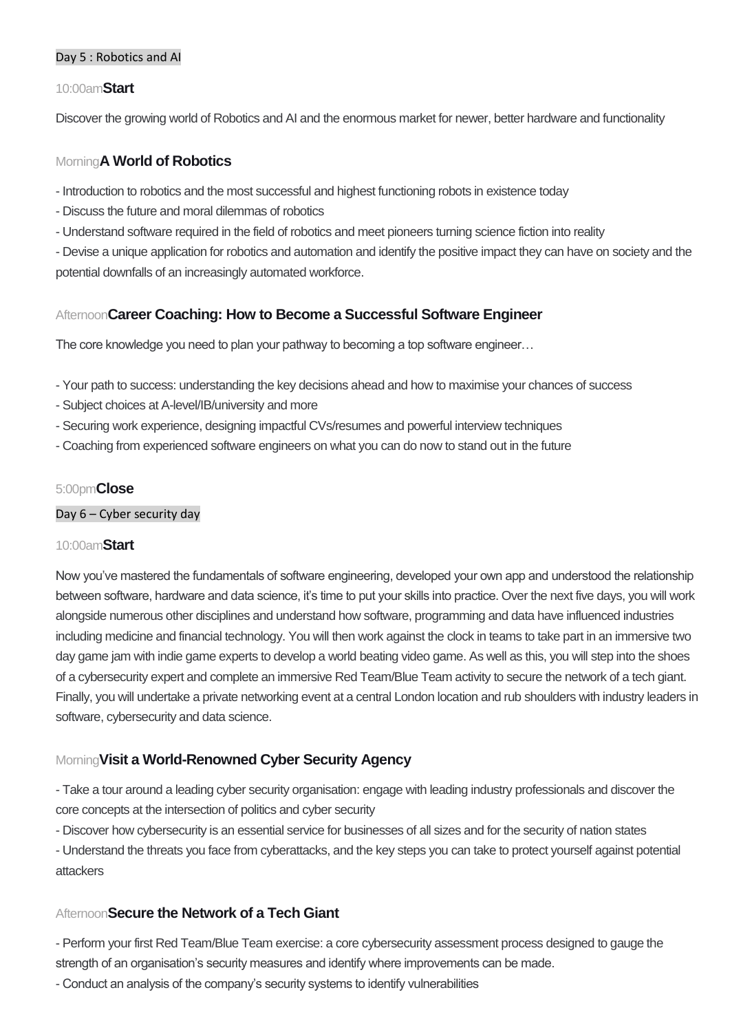## Day 5 : Robotics and AI

### 10:00am**Start**

Discover the growing world of Robotics and AI and the enormous market for newer, better hardware and functionality

## Morning**A World of Robotics**

- Introduction to robotics and the most successful and highest functioning robots in existence today
- Discuss the future and moral dilemmas of robotics
- Understand software required in the field of robotics and meet pioneers turning science fiction into reality
- Devise a unique application for robotics and automation and identify the positive impact they can have on society and the potential downfalls of an increasingly automated workforce.

# Afternoon**Career Coaching: How to Become a Successful Software Engineer**

The core knowledge you need to plan your pathway to becoming a top software engineer…

- Your path to success: understanding the key decisions ahead and how to maximise your chances of success
- Subject choices at A-level/IB/university and more
- Securing work experience, designing impactful CVs/resumes and powerful interview techniques
- Coaching from experienced software engineers on what you can do now to stand out in the future

## 5:00pm**Close**

### Day 6 – Cyber security day

## 10:00am**Start**

Now you've mastered the fundamentals of software engineering, developed your own app and understood the relationship between software, hardware and data science, it's time to put your skills into practice. Over the next five days, you will work alongside numerous other disciplines and understand how software, programming and data have influenced industries including medicine and financial technology. You will then work against the clock in teams to take part in an immersive two day game jam with indie game experts to develop a world beating video game. As well as this, you will step into the shoes of a cybersecurity expert and complete an immersive Red Team/Blue Team activity to secure the network of a tech giant. Finally, you will undertake a private networking event at a central London location and rub shoulders with industry leaders in software, cybersecurity and data science.

# Morning**Visit a World-Renowned Cyber Security Agency**

- Take a tour around a leading cyber security organisation: engage with leading industry professionals and discover the core concepts at the intersection of politics and cyber security

- Discover how cybersecurity is an essential service for businesses of all sizes and for the security of nation states

- Understand the threats you face from cyberattacks, and the key steps you can take to protect yourself against potential attackers

## Afternoon**Secure the Network of a Tech Giant**

- Perform your first Red Team/Blue Team exercise: a core cybersecurity assessment process designed to gauge the strength of an organisation's security measures and identify where improvements can be made.

- Conduct an analysis of the company's security systems to identify vulnerabilities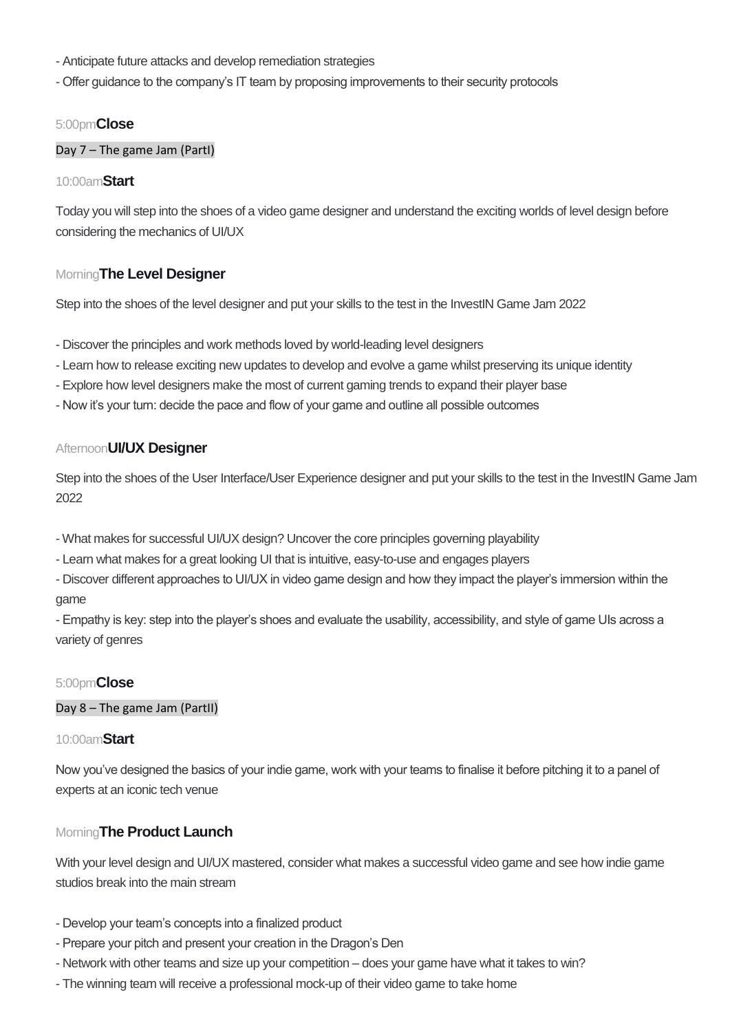- Anticipate future attacks and develop remediation strategies
- Offer guidance to the company's IT team by proposing improvements to their security protocols

#### 5:00pm**Close**

#### Day 7 – The game Jam (PartI)

### 10:00am**Start**

Today you will step into the shoes of a video game designer and understand the exciting worlds of level design before considering the mechanics of UI/UX

## Morning**The Level Designer**

Step into the shoes of the level designer and put your skills to the test in the InvestIN Game Jam 2022

- Discover the principles and work methods loved by world-leading level designers
- Learn how to release exciting new updates to develop and evolve a game whilst preserving its unique identity
- Explore how level designers make the most of current gaming trends to expand their player base
- Now it's your turn: decide the pace and flow of your game and outline all possible outcomes

### Afternoon**UI/UX Designer**

Step into the shoes of the User Interface/User Experience designer and put your skills to the test in the InvestIN Game Jam 2022

- What makes for successful UI/UX design? Uncover the core principles governing playability
- Learn what makes for a great looking UI that is intuitive, easy-to-use and engages players
- Discover different approaches to UI/UX in video game design and how they impact the player's immersion within the game

- Empathy is key: step into the player's shoes and evaluate the usability, accessibility, and style of game UIs across a variety of genres

## 5:00pm**Close**

#### Day 8 – The game Jam (PartII)

#### 10:00am**Start**

Now you've designed the basics of your indie game, work with your teams to finalise it before pitching it to a panel of experts at an iconic tech venue

## Morning**The Product Launch**

With your level design and UI/UX mastered, consider what makes a successful video game and see how indie game studios break into the main stream

- Develop your team's concepts into a finalized product
- Prepare your pitch and present your creation in the Dragon's Den
- Network with other teams and size up your competition does your game have what it takes to win?
- The winning team will receive a professional mock-up of their video game to take home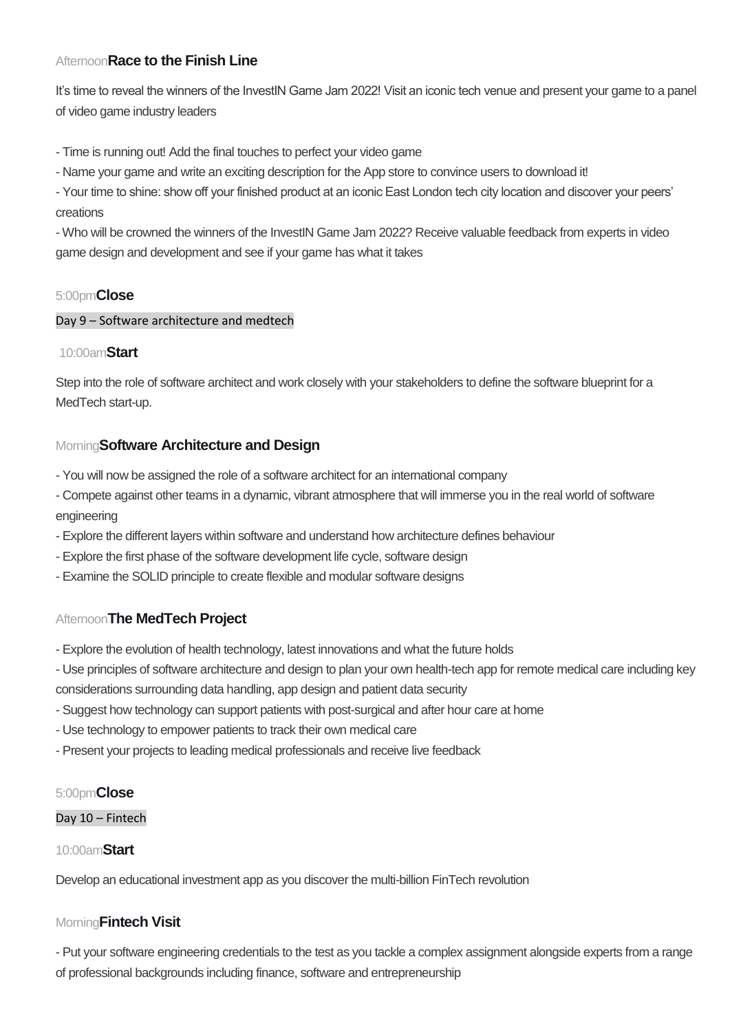# Afternoon**Race to the Finish Line**

It's time to reveal the winners of the InvestIN Game Jam 2022! Visit an iconic tech venue and present your game to a panel of video game industry leaders

- Time is running out! Add the final touches to perfect your video game

- Name your game and write an exciting description for the App store to convince users to download it!

- Your time to shine: show off your finished product at an iconic East London tech city location and discover your peers' creations

- Who will be crowned the winners of the InvestIN Game Jam 2022? Receive valuable feedback from experts in video game design and development and see if your game has what it takes

# 5:00pm**Close**

## Day 9 – Software architecture and medtech

## 10:00am**Start**

Step into the role of software architect and work closely with your stakeholders to define the software blueprint for a MedTech start-up.

## Morning**Software Architecture and Design**

- You will now be assigned the role of a software architect for an international company
- Compete against other teams in a dynamic, vibrant atmosphere that will immerse you in the real world of software engineering
- Explore the different layers within software and understand how architecture defines behaviour
- Explore the first phase of the software development life cycle, software design
- Examine the SOLID principle to create flexible and modular software designs

# Afternoon**The MedTech Project**

- Explore the evolution of health technology, latest innovations and what the future holds
- Use principles of software architecture and design to plan your own health-tech app for remote medical care including key considerations surrounding data handling, app design and patient data security
- Suggest how technology can support patients with post-surgical and after hour care at home
- Use technology to empower patients to track their own medical care
- Present your projects to leading medical professionals and receive live feedback

## 5:00pm**Close**

#### Day 10 – Fintech

## 10:00am**Start**

Develop an educational investment app as you discover the multi-billion FinTech revolution

## Morning**Fintech Visit**

- Put your software engineering credentials to the test as you tackle a complex assignment alongside experts from a range of professional backgrounds including finance, software and entrepreneurship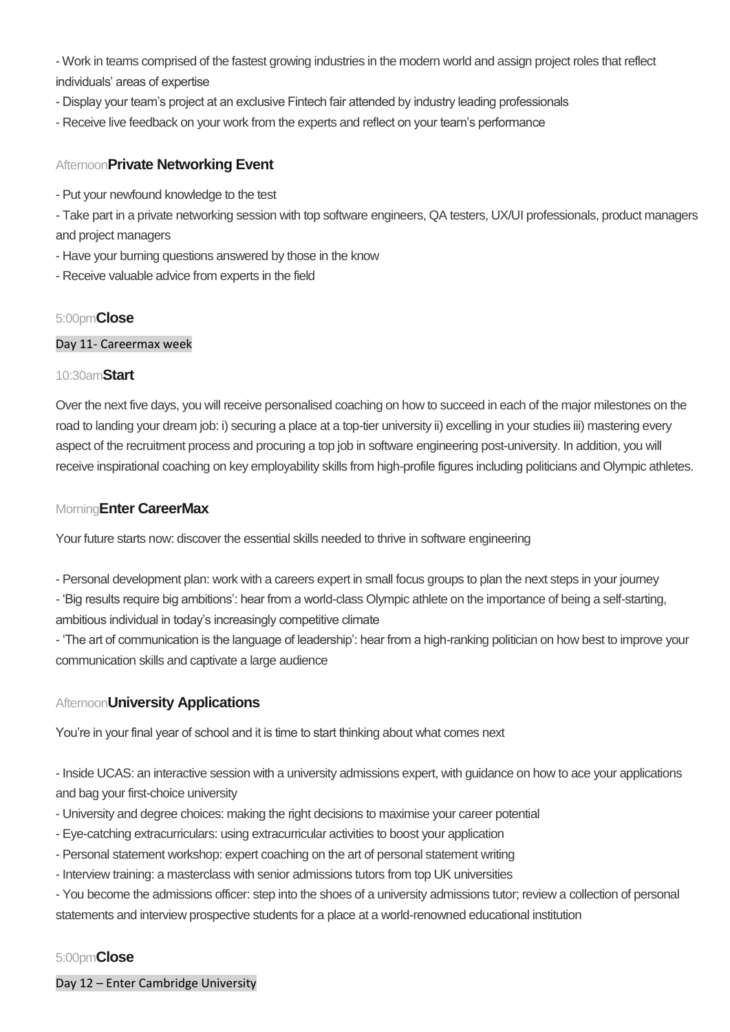- Work in teams comprised of the fastest growing industries in the modern world and assign project roles that reflect individuals' areas of expertise

- Display your team's project at an exclusive Fintech fair attended by industry leading professionals
- Receive live feedback on your work from the experts and reflect on your team's performance

# Afternoon**Private Networking Event**

- Put your newfound knowledge to the test

- Take part in a private networking session with top software engineers, QA testers, UX/UI professionals, product managers and project managers

- Have your burning questions answered by those in the know
- Receive valuable advice from experts in the field

# 5:00pm**Close**

## Day 11- Careermax week

## 10:30am**Start**

Over the next five days, you will receive personalised coaching on how to succeed in each of the major milestones on the road to landing your dream job: i) securing a place at a top-tier university ii) excelling in your studies iii) mastering every aspect of the recruitment process and procuring a top job in software engineering post-university. In addition, you will receive inspirational coaching on key employability skills from high-profile figures including politicians and Olympic athletes.

## Morning**Enter CareerMax**

Your future starts now: discover the essential skills needed to thrive in software engineering

- Personal development plan: work with a careers expert in small focus groups to plan the next steps in your journey - 'Big results require big ambitions': hear from a world-class Olympic athlete on the importance of being a self-starting, ambitious individual in today's increasingly competitive climate

- 'The art of communication is the language of leadership': hear from a high-ranking politician on how best to improve your communication skills and captivate a large audience

# Afternoon**University Applications**

You're in your final year of school and it is time to start thinking about what comes next

- Inside UCAS: an interactive session with a university admissions expert, with guidance on how to ace your applications and bag your first-choice university

- University and degree choices: making the right decisions to maximise your career potential
- Eye-catching extracurriculars: using extracurricular activities to boost your application
- Personal statement workshop: expert coaching on the art of personal statement writing
- Interview training: a masterclass with senior admissions tutors from top UK universities

- You become the admissions officer: step into the shoes of a university admissions tutor; review a collection of personal statements and interview prospective students for a place at a world-renowned educational institution

# 5:00pm**Close**

Day 12 – Enter Cambridge University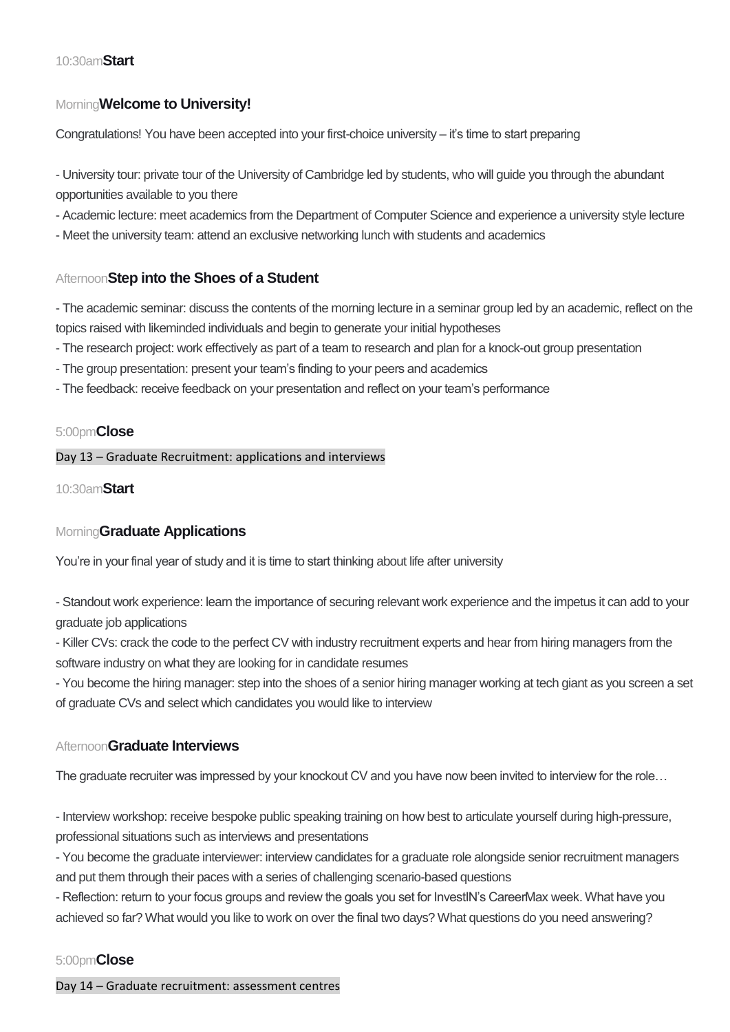### 10:30am**Start**

## Morning**Welcome to University!**

Congratulations! You have been accepted into your first-choice university – it's time to start preparing

- University tour: private tour of the University of Cambridge led by students, who will guide you through the abundant opportunities available to you there

- Academic lecture: meet academics from the Department of Computer Science and experience a university style lecture

- Meet the university team: attend an exclusive networking lunch with students and academics

## Afternoon**Step into the Shoes of a Student**

- The academic seminar: discuss the contents of the morning lecture in a seminar group led by an academic, reflect on the topics raised with likeminded individuals and begin to generate your initial hypotheses

- The research project: work effectively as part of a team to research and plan for a knock-out group presentation

- The group presentation: present your team's finding to your peers and academics
- The feedback: receive feedback on your presentation and reflect on your team's performance

### 5:00pm**Close**

Day 13 – Graduate Recruitment: applications and interviews

10:30am**Start**

## Morning**Graduate Applications**

You're in your final year of study and it is time to start thinking about life after university

- Standout work experience: learn the importance of securing relevant work experience and the impetus it can add to your graduate job applications

- Killer CVs: crack the code to the perfect CV with industry recruitment experts and hear from hiring managers from the software industry on what they are looking for in candidate resumes

- You become the hiring manager: step into the shoes of a senior hiring manager working at tech giant as you screen a set of graduate CVs and select which candidates you would like to interview

## Afternoon**Graduate Interviews**

The graduate recruiter was impressed by your knockout CV and you have now been invited to interview for the role…

- Interview workshop: receive bespoke public speaking training on how best to articulate yourself during high-pressure, professional situations such as interviews and presentations

- You become the graduate interviewer: interview candidates for a graduate role alongside senior recruitment managers and put them through their paces with a series of challenging scenario-based questions

- Reflection: return to your focus groups and review the goals you set for InvestIN's CareerMax week. What have you achieved so far? What would you like to work on over the final two days? What questions do you need answering?

## 5:00pm**Close**

Day 14 – Graduate recruitment: assessment centres